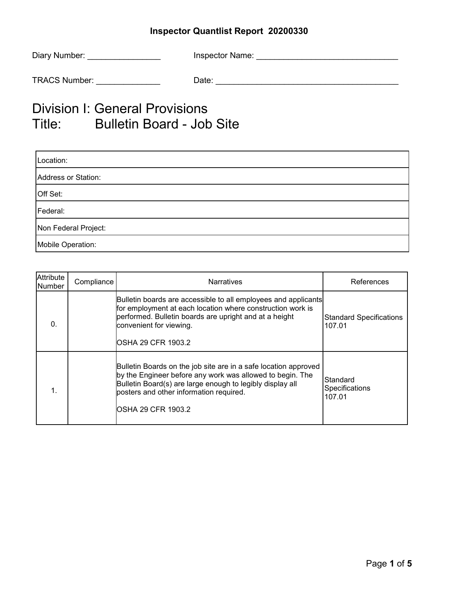| Diary Number:        | Inspector Name: |
|----------------------|-----------------|
| <b>TRACS Number:</b> | Date:           |

# Division I: General Provisions Title: Bulletin Board - Job Site

| Location:            |  |  |
|----------------------|--|--|
| Address or Station:  |  |  |
| Off Set:             |  |  |
| Federal:             |  |  |
| Non Federal Project: |  |  |
| Mobile Operation:    |  |  |

| Attribute<br>Number | Compliance | <b>Narratives</b>                                                                                                                                                                                                                                          | References                               |
|---------------------|------------|------------------------------------------------------------------------------------------------------------------------------------------------------------------------------------------------------------------------------------------------------------|------------------------------------------|
| 0.                  |            | Bulletin boards are accessible to all employees and applicants<br>for employment at each location where construction work is<br>performed. Bulletin boards are upright and at a height<br>convenient for viewing.<br>OSHA 29 CFR 1903.2                    | <b>Standard Specifications</b><br>107.01 |
|                     |            | Bulletin Boards on the job site are in a safe location approved<br>by the Engineer before any work was allowed to begin. The<br>Bulletin Board(s) are large enough to legibly display all<br>posters and other information required.<br>OSHA 29 CFR 1903.2 | Standard<br>Specifications<br>107.01     |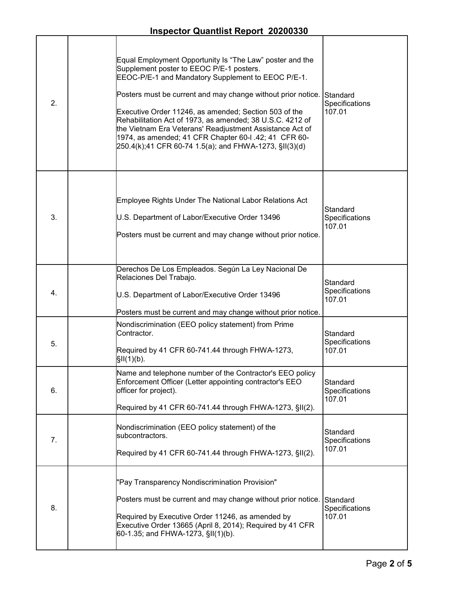| 2. | Equal Employment Opportunity Is "The Law" poster and the<br>Supplement poster to EEOC P/E-1 posters.<br>EEOC-P/E-1 and Mandatory Supplement to EEOC P/E-1.<br>Posters must be current and may change without prior notice.<br>Executive Order 11246, as amended; Section 503 of the<br>Rehabilitation Act of 1973, as amended; 38 U.S.C. 4212 of<br>the Vietnam Era Veterans' Readjustment Assistance Act of<br>1974, as amended; 41 CFR Chapter 60-I .42; 41 CFR 60-<br>250.4(k);41 CFR 60-74 1.5(a); and FHWA-1273, §II(3)(d) | Standard<br>Specifications<br>107.01 |
|----|---------------------------------------------------------------------------------------------------------------------------------------------------------------------------------------------------------------------------------------------------------------------------------------------------------------------------------------------------------------------------------------------------------------------------------------------------------------------------------------------------------------------------------|--------------------------------------|
| 3. | Employee Rights Under The National Labor Relations Act<br>U.S. Department of Labor/Executive Order 13496<br>Posters must be current and may change without prior notice.                                                                                                                                                                                                                                                                                                                                                        | Standard<br>Specifications<br>107.01 |
| 4. | Derechos De Los Empleados. Según La Ley Nacional De<br>Relaciones Del Trabajo.<br>U.S. Department of Labor/Executive Order 13496<br>Posters must be current and may change without prior notice.                                                                                                                                                                                                                                                                                                                                | Standard<br>Specifications<br>107.01 |
| 5. | Nondiscrimination (EEO policy statement) from Prime<br>Contractor.<br>Required by 41 CFR 60-741.44 through FHWA-1273,<br>\$II(1)(b).                                                                                                                                                                                                                                                                                                                                                                                            | Standard<br>Specifications<br>107.01 |
| 6. | Name and telephone number of the Contractor's EEO policy<br>Enforcement Officer (Letter appointing contractor's EEO<br>officer for project).<br>Required by 41 CFR 60-741.44 through FHWA-1273, §II(2).                                                                                                                                                                                                                                                                                                                         | Standard<br>Specifications<br>107.01 |
| 7. | Nondiscrimination (EEO policy statement) of the<br>subcontractors.<br>Required by 41 CFR 60-741.44 through FHWA-1273, §II(2).                                                                                                                                                                                                                                                                                                                                                                                                   | Standard<br>Specifications<br>107.01 |
| 8. | "Pay Transparency Nondiscrimination Provision"<br>Posters must be current and may change without prior notice.<br>Required by Executive Order 11246, as amended by<br>Executive Order 13665 (April 8, 2014); Required by 41 CFR<br>60-1.35; and FHWA-1273, §II(1)(b).                                                                                                                                                                                                                                                           | Standard<br>Specifications<br>107.01 |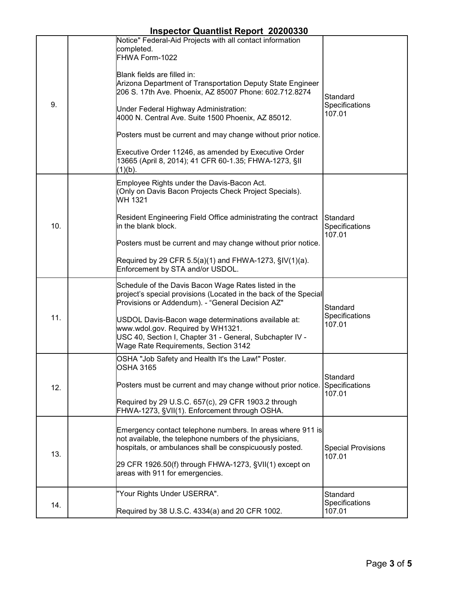| <b>Inspector Quantlist Report 20200330</b> |
|--------------------------------------------|
|--------------------------------------------|

| 9.  | Notice" Federal-Aid Projects with all contact information<br>completed.<br>FHWA Form-1022<br>Blank fields are filled in:<br>Arizona Department of Transportation Deputy State Engineer<br>206 S. 17th Ave. Phoenix, AZ 85007 Phone: 602.712.8274<br>Under Federal Highway Administration:<br>4000 N. Central Ave. Suite 1500 Phoenix, AZ 85012.<br>Posters must be current and may change without prior notice.<br>Executive Order 11246, as amended by Executive Order<br>13665 (April 8, 2014); 41 CFR 60-1.35; FHWA-1273, §II<br>(1)(b). | Standard<br>Specifications<br>107.01 |
|-----|---------------------------------------------------------------------------------------------------------------------------------------------------------------------------------------------------------------------------------------------------------------------------------------------------------------------------------------------------------------------------------------------------------------------------------------------------------------------------------------------------------------------------------------------|--------------------------------------|
| 10. | Employee Rights under the Davis-Bacon Act.<br>(Only on Davis Bacon Projects Check Project Specials).<br>WH 1321<br>Resident Engineering Field Office administrating the contract<br>in the blank block.<br>Posters must be current and may change without prior notice.<br>Required by 29 CFR 5.5(a)(1) and FHWA-1273, $\S$ IV(1)(a).<br>Enforcement by STA and/or USDOL.                                                                                                                                                                   | Standard<br>Specifications<br>107.01 |
| 11. | Schedule of the Davis Bacon Wage Rates listed in the<br>project's special provisions (Located in the back of the Special<br>Provisions or Addendum). - "General Decision AZ"<br>USDOL Davis-Bacon wage determinations available at:<br>www.wdol.gov. Required by WH1321.<br>USC 40, Section I, Chapter 31 - General, Subchapter IV -<br>Wage Rate Requirements, Section 3142                                                                                                                                                                | Standard<br>Specifications<br>107.01 |
| 12. | OSHA "Job Safety and Health It's the Law!" Poster.<br><b>OSHA 3165</b><br>Posters must be current and may change without prior notice.<br>Required by 29 U.S.C. 657(c), 29 CFR 1903.2 through<br>FHWA-1273, §VII(1). Enforcement through OSHA.                                                                                                                                                                                                                                                                                              | Standard<br>Specifications<br>107.01 |
| 13. | Emergency contact telephone numbers. In areas where 911 is<br>not available, the telephone numbers of the physicians,<br>hospitals, or ambulances shall be conspicuously posted.<br>29 CFR 1926.50(f) through FHWA-1273, §VII(1) except on<br>areas with 911 for emergencies.                                                                                                                                                                                                                                                               | <b>Special Provisions</b><br>107.01  |
| 14. | "Your Rights Under USERRA".<br>Required by 38 U.S.C. 4334(a) and 20 CFR 1002.                                                                                                                                                                                                                                                                                                                                                                                                                                                               | Standard<br>Specifications<br>107.01 |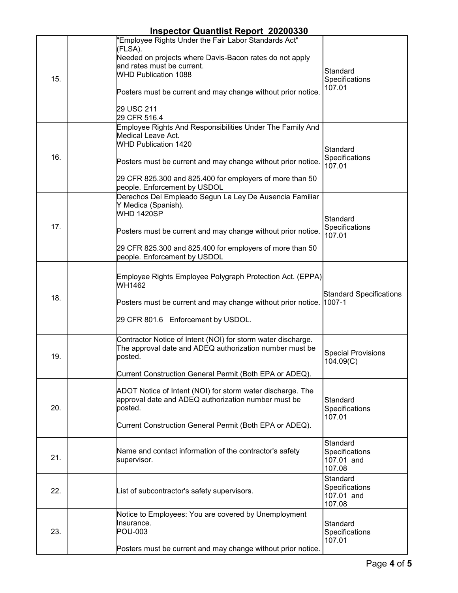| 15. | "Employee Rights Under the Fair Labor Standards Act"<br>(FLSA).<br>Needed on projects where Davis-Bacon rates do not apply<br>and rates must be current.<br><b>WHD Publication 1088</b><br>Posters must be current and may change without prior notice.<br>29 USC 211<br>29 CFR 516.4 | Standard<br>Specifications<br>107.01               |
|-----|---------------------------------------------------------------------------------------------------------------------------------------------------------------------------------------------------------------------------------------------------------------------------------------|----------------------------------------------------|
| 16. | Employee Rights And Responsibilities Under The Family And<br><b>Medical Leave Act.</b><br><b>WHD Publication 1420</b><br>Posters must be current and may change without prior notice.<br>29 CFR 825.300 and 825.400 for employers of more than 50<br>people. Enforcement by USDOL     | Standard<br>Specifications<br>107.01               |
| 17. | Derechos Del Empleado Segun La Ley De Ausencia Familiar<br>Y Medica (Spanish).<br><b>WHD 1420SP</b><br>Posters must be current and may change without prior notice.<br>29 CFR 825.300 and 825.400 for employers of more than 50<br>people. Enforcement by USDOL                       | Standard<br>Specifications<br>107.01               |
| 18. | Employee Rights Employee Polygraph Protection Act. (EPPA)<br>WH1462<br>Posters must be current and may change without prior notice. 1007-1<br>29 CFR 801.6 Enforcement by USDOL.                                                                                                      | <b>Standard Specifications</b>                     |
| 19. | Contractor Notice of Intent (NOI) for storm water discharge.<br>The approval date and ADEQ authorization number must be<br>posted.<br>Current Construction General Permit (Both EPA or ADEQ).                                                                                         | <b>Special Provisions</b><br>104.09(C)             |
| 20. | ADOT Notice of Intent (NOI) for storm water discharge. The<br>approval date and ADEQ authorization number must be<br>posted.<br>Current Construction General Permit (Both EPA or ADEQ).                                                                                               | Standard<br>Specifications<br>107.01               |
| 21. | Name and contact information of the contractor's safety<br>supervisor.                                                                                                                                                                                                                | Standard<br>Specifications<br>107.01 and<br>107.08 |
| 22. | List of subcontractor's safety supervisors.                                                                                                                                                                                                                                           | Standard<br>Specifications<br>107.01 and<br>107.08 |
| 23. | Notice to Employees: You are covered by Unemployment<br>Insurance.<br><b>POU-003</b><br>Posters must be current and may change without prior notice.                                                                                                                                  | Standard<br>Specifications<br>107.01               |